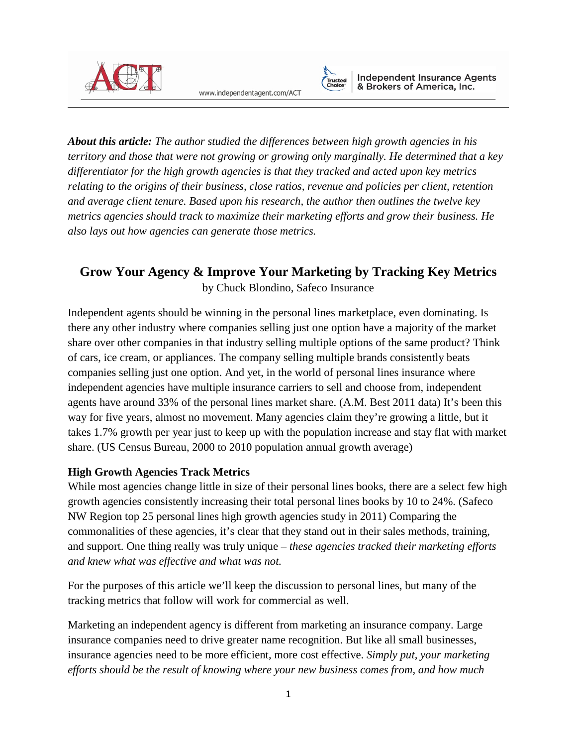

www.independentagent.com/ACT



*About this article: The author studied the differences between high growth agencies in his territory and those that were not growing or growing only marginally. He determined that a key differentiator for the high growth agencies is that they tracked and acted upon key metrics relating to the origins of their business, close ratios, revenue and policies per client, retention and average client tenure. Based upon his research, the author then outlines the twelve key metrics agencies should track to maximize their marketing efforts and grow their business. He also lays out how agencies can generate those metrics.*

# **Grow Your Agency & Improve Your Marketing by Tracking Key Metrics** by Chuck Blondino, Safeco Insurance

Independent agents should be winning in the personal lines marketplace, even dominating. Is there any other industry where companies selling just one option have a majority of the market share over other companies in that industry selling multiple options of the same product? Think of cars, ice cream, or appliances. The company selling multiple brands consistently beats companies selling just one option. And yet, in the world of personal lines insurance where independent agencies have multiple insurance carriers to sell and choose from, independent agents have around 33% of the personal lines market share. (A.M. Best 2011 data) It's been this way for five years, almost no movement. Many agencies claim they're growing a little, but it takes 1.7% growth per year just to keep up with the population increase and stay flat with market share. (US Census Bureau, 2000 to 2010 population annual growth average)

## **High Growth Agencies Track Metrics**

While most agencies change little in size of their personal lines books, there are a select few high growth agencies consistently increasing their total personal lines books by 10 to 24%. (Safeco NW Region top 25 personal lines high growth agencies study in 2011) Comparing the commonalities of these agencies, it's clear that they stand out in their sales methods, training, and support. One thing really was truly unique – *these agencies tracked their marketing efforts and knew what was effective and what was not.*

For the purposes of this article we'll keep the discussion to personal lines, but many of the tracking metrics that follow will work for commercial as well.

Marketing an independent agency is different from marketing an insurance company. Large insurance companies need to drive greater name recognition. But like all small businesses, insurance agencies need to be more efficient, more cost effective. *Simply put, your marketing efforts should be the result of knowing where your new business comes from, and how much*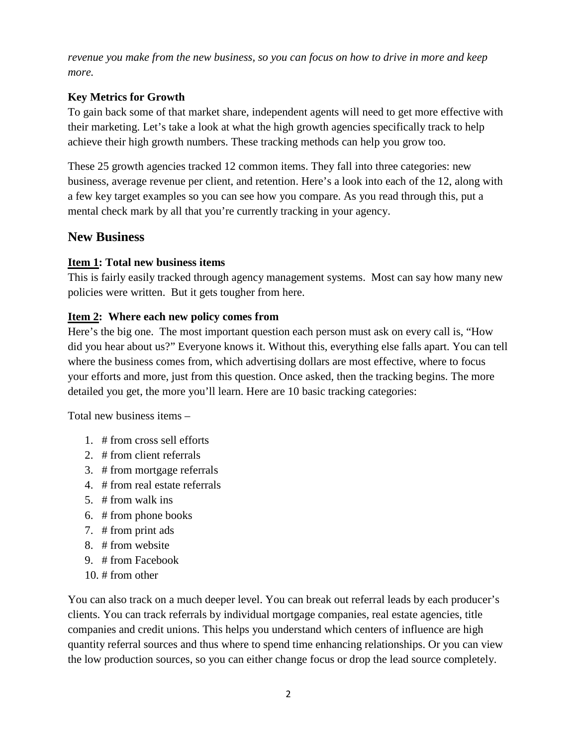*revenue you make from the new business, so you can focus on how to drive in more and keep more.*

## **Key Metrics for Growth**

To gain back some of that market share, independent agents will need to get more effective with their marketing. Let's take a look at what the high growth agencies specifically track to help achieve their high growth numbers. These tracking methods can help you grow too.

These 25 growth agencies tracked 12 common items. They fall into three categories: new business, average revenue per client, and retention. Here's a look into each of the 12, along with a few key target examples so you can see how you compare. As you read through this, put a mental check mark by all that you're currently tracking in your agency.

## **New Business**

## **Item 1: Total new business items**

This is fairly easily tracked through agency management systems. Most can say how many new policies were written. But it gets tougher from here.

## **Item 2: Where each new policy comes from**

Here's the big one. The most important question each person must ask on every call is, "How did you hear about us?" Everyone knows it. Without this, everything else falls apart. You can tell where the business comes from, which advertising dollars are most effective, where to focus your efforts and more, just from this question. Once asked, then the tracking begins. The more detailed you get, the more you'll learn. Here are 10 basic tracking categories:

Total new business items –

- 1. # from cross sell efforts
- 2. # from client referrals
- 3. # from mortgage referrals
- 4. # from real estate referrals
- 5. # from walk ins
- 6. # from phone books
- 7. # from print ads
- 8. # from website
- 9. # from Facebook
- 10. # from other

You can also track on a much deeper level. You can break out referral leads by each producer's clients. You can track referrals by individual mortgage companies, real estate agencies, title companies and credit unions. This helps you understand which centers of influence are high quantity referral sources and thus where to spend time enhancing relationships. Or you can view the low production sources, so you can either change focus or drop the lead source completely.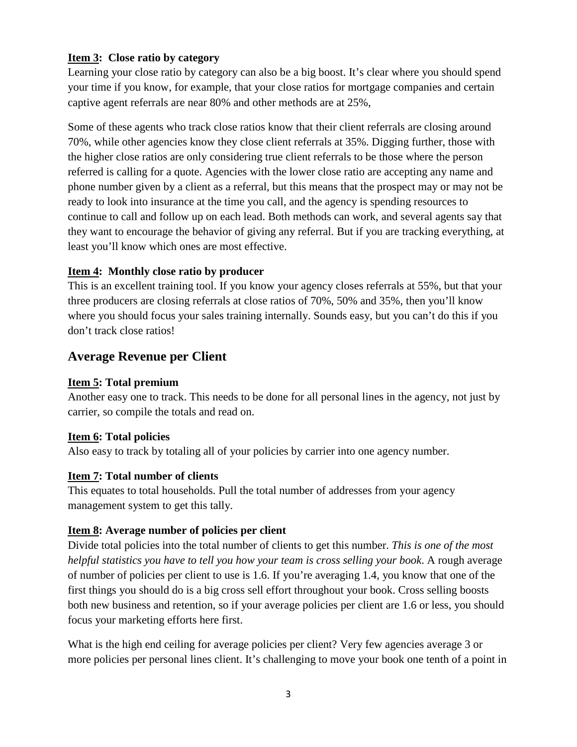## **Item 3: Close ratio by category**

Learning your close ratio by category can also be a big boost. It's clear where you should spend your time if you know, for example, that your close ratios for mortgage companies and certain captive agent referrals are near 80% and other methods are at 25%,

Some of these agents who track close ratios know that their client referrals are closing around 70%, while other agencies know they close client referrals at 35%. Digging further, those with the higher close ratios are only considering true client referrals to be those where the person referred is calling for a quote. Agencies with the lower close ratio are accepting any name and phone number given by a client as a referral, but this means that the prospect may or may not be ready to look into insurance at the time you call, and the agency is spending resources to continue to call and follow up on each lead. Both methods can work, and several agents say that they want to encourage the behavior of giving any referral. But if you are tracking everything, at least you'll know which ones are most effective.

## **Item 4: Monthly close ratio by producer**

This is an excellent training tool. If you know your agency closes referrals at 55%, but that your three producers are closing referrals at close ratios of 70%, 50% and 35%, then you'll know where you should focus your sales training internally. Sounds easy, but you can't do this if you don't track close ratios!

# **Average Revenue per Client**

#### **Item 5: Total premium**

Another easy one to track. This needs to be done for all personal lines in the agency, not just by carrier, so compile the totals and read on.

## **Item 6: Total policies**

Also easy to track by totaling all of your policies by carrier into one agency number.

#### **Item 7: Total number of clients**

This equates to total households. Pull the total number of addresses from your agency management system to get this tally.

#### **Item 8: Average number of policies per client**

Divide total policies into the total number of clients to get this number. *This is one of the most helpful statistics you have to tell you how your team is cross selling your book*. A rough average of number of policies per client to use is 1.6. If you're averaging 1.4, you know that one of the first things you should do is a big cross sell effort throughout your book. Cross selling boosts both new business and retention, so if your average policies per client are 1.6 or less, you should focus your marketing efforts here first.

What is the high end ceiling for average policies per client? Very few agencies average 3 or more policies per personal lines client. It's challenging to move your book one tenth of a point in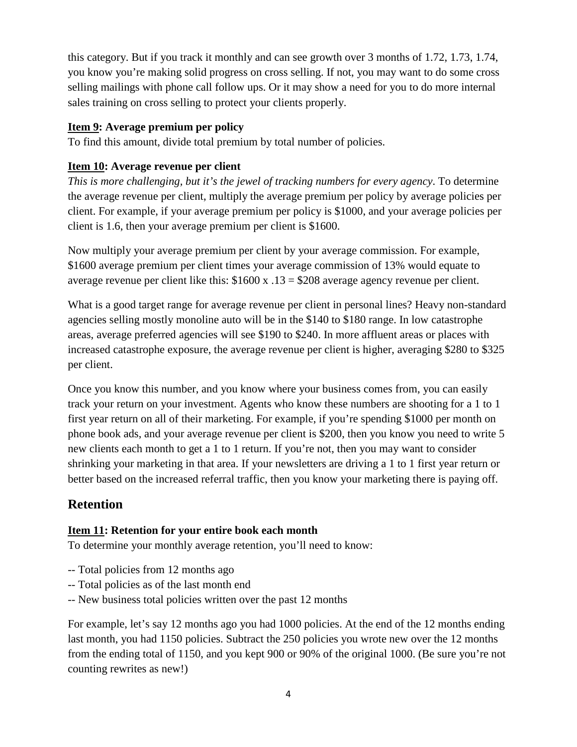this category. But if you track it monthly and can see growth over 3 months of 1.72, 1.73, 1.74, you know you're making solid progress on cross selling. If not, you may want to do some cross selling mailings with phone call follow ups. Or it may show a need for you to do more internal sales training on cross selling to protect your clients properly.

#### **Item 9: Average premium per policy**

To find this amount, divide total premium by total number of policies.

## **Item 10: Average revenue per client**

*This is more challenging, but it's the jewel of tracking numbers for every agency*. To determine the average revenue per client, multiply the average premium per policy by average policies per client. For example, if your average premium per policy is \$1000, and your average policies per client is 1.6, then your average premium per client is \$1600.

Now multiply your average premium per client by your average commission. For example, \$1600 average premium per client times your average commission of 13% would equate to average revenue per client like this: \$1600 x .13 = \$208 average agency revenue per client.

What is a good target range for average revenue per client in personal lines? Heavy non-standard agencies selling mostly monoline auto will be in the \$140 to \$180 range. In low catastrophe areas, average preferred agencies will see \$190 to \$240. In more affluent areas or places with increased catastrophe exposure, the average revenue per client is higher, averaging \$280 to \$325 per client.

Once you know this number, and you know where your business comes from, you can easily track your return on your investment. Agents who know these numbers are shooting for a 1 to 1 first year return on all of their marketing. For example, if you're spending \$1000 per month on phone book ads, and your average revenue per client is \$200, then you know you need to write 5 new clients each month to get a 1 to 1 return. If you're not, then you may want to consider shrinking your marketing in that area. If your newsletters are driving a 1 to 1 first year return or better based on the increased referral traffic, then you know your marketing there is paying off.

# **Retention**

#### **Item 11: Retention for your entire book each month**

To determine your monthly average retention, you'll need to know:

- -- Total policies from 12 months ago
- -- Total policies as of the last month end
- -- New business total policies written over the past 12 months

For example, let's say 12 months ago you had 1000 policies. At the end of the 12 months ending last month, you had 1150 policies. Subtract the 250 policies you wrote new over the 12 months from the ending total of 1150, and you kept 900 or 90% of the original 1000. (Be sure you're not counting rewrites as new!)